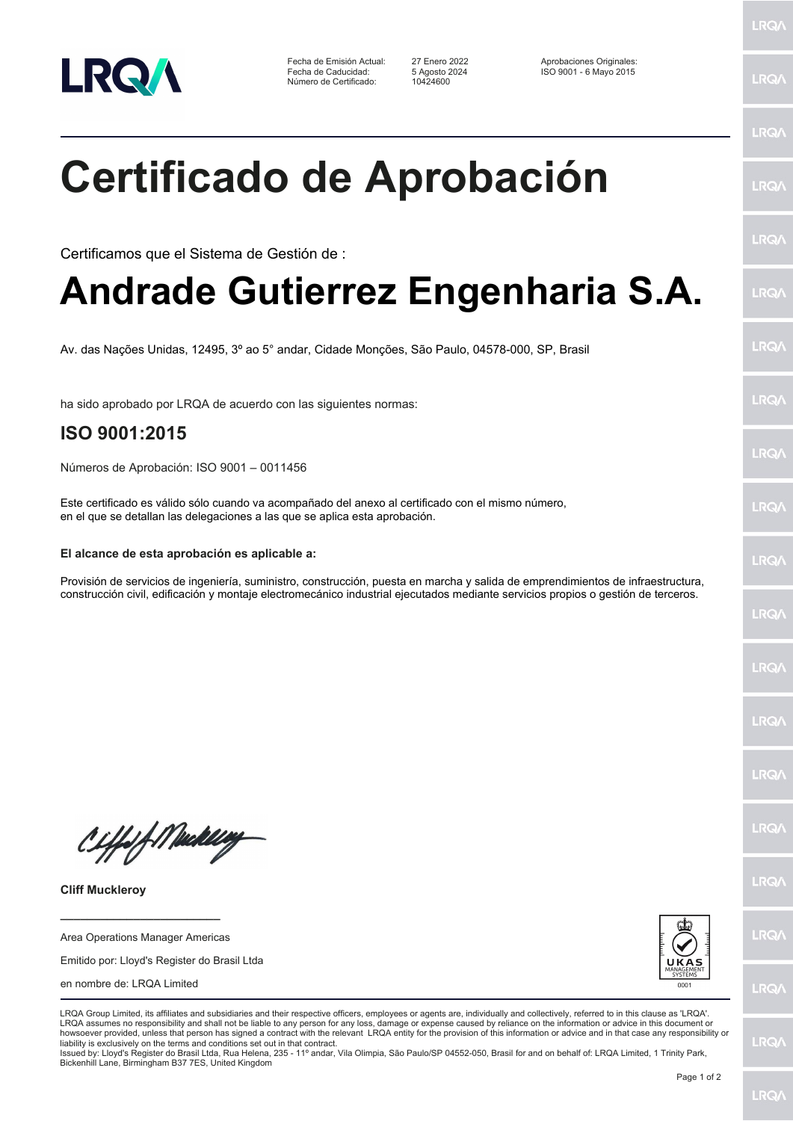

Fecha de Emisión Actual: 27 Enero 2022 Aprobaciones Originales: Número de Certificado:

Fecha de Caducidad: 5 Agosto 2024 ISO 9001 - 6 Mayo 2015

LRQ/

LRQ/

LRQ/

LRQ/

LRQ/

LRQ/

LRQ/

LRQ/

**LRQA** 

LRQ/

LRQ/

LRQ/

LRQ/

LRQ/

LRQ/

**IRQA** 

LRQ/

LRQ/

**LRQ/** 

LRQ/

## **Certificado de Aprobación**

Certificamos que el Sistema de Gestión de :

## **Andrade Gutierrez Engenharia S.A.**

Av. das Nações Unidas, 12495, 3º ao 5° andar, Cidade Monções, São Paulo, 04578-000, SP, Brasil

ha sido aprobado por LRQA de acuerdo con las siguientes normas:

## **ISO 9001:2015**

Números de Aprobación: ISO 9001 – 0011456

Este certificado es válido sólo cuando va acompañado del anexo al certificado con el mismo número, en el que se detallan las delegaciones a las que se aplica esta aprobación.

## **El alcance de esta aprobación es aplicable a:**

Provisión de servicios de ingeniería, suministro, construcción, puesta en marcha y salida de emprendimientos de infraestructura, construcción civil, edificación y montaje electromecánico industrial ejecutados mediante servicios propios o gestión de terceros.

Ciffeft Medal

**Cliff Muckleroy**

Area Operations Manager Americas

**\_\_\_\_\_\_\_\_\_\_\_\_\_\_\_\_\_\_\_\_\_\_\_\_**

Emitido por: Lloyd's Register do Brasil Ltda

en nombre de: LRQA Limited



LRQA Group Limited, its affiliates and subsidiaries and their respective officers, employees or agents are, individually and collectively, referred to in this clause as 'LRQA'. LRQA assumes no responsibility and shall not be liable to any person for any loss, damage or expense caused by reliance on the information or advice in this document or howsoever provided, unless that person has signed a contract with the relevant LRQA entity for the provision of this information or advice and in that case any responsibility or liability is exclusively on the terms and conditions set out in that contract.

Issued by: Lloyd's Register do Brasil Ltda, Rua Helena, 235 - 11º andar, Vila Olimpia, São Paulo/SP 04552-050, Brasil for and on behalf of: LRQA Limited, 1 Trinity Park, Bickenhill Lane, Birmingham B37 7ES, United Kingdom